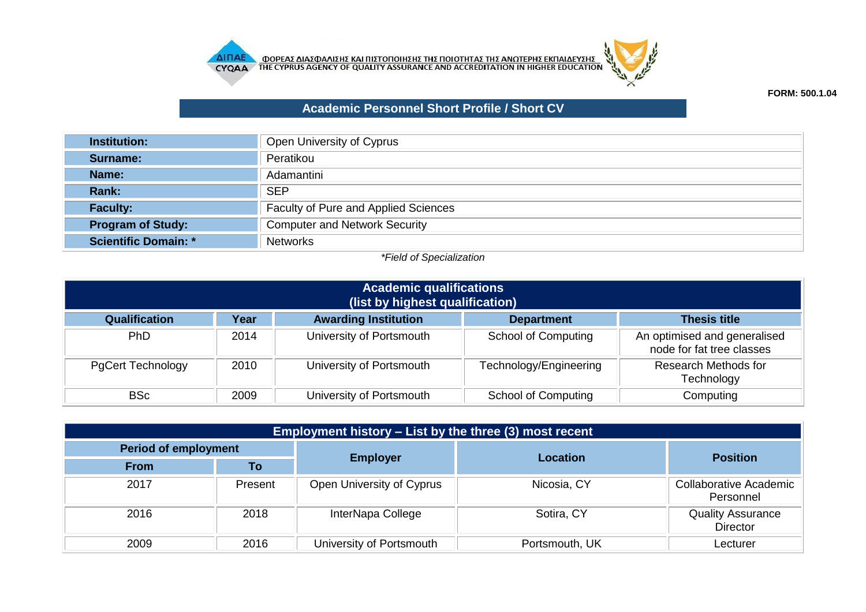



## **FORM: 500.1.04**

## **Academic Personnel Short Profile / Short CV**

| <b>Institution:</b>         | Open University of Cyprus            |
|-----------------------------|--------------------------------------|
| Surname:                    | Peratikou                            |
| Name:                       | Adamantini                           |
| <b>Rank:</b>                | <b>SEP</b>                           |
| <b>Faculty:</b>             | Faculty of Pure and Applied Sciences |
| <b>Program of Study:</b>    | <b>Computer and Network Security</b> |
| <b>Scientific Domain: *</b> | <b>Networks</b>                      |

## *\*Field of Specialization*

| <b>Academic qualifications</b><br>(list by highest qualification)                                |      |                          |                            |                                                           |  |
|--------------------------------------------------------------------------------------------------|------|--------------------------|----------------------------|-----------------------------------------------------------|--|
| <b>Awarding Institution</b><br>Qualification<br>Year<br><b>Thesis title</b><br><b>Department</b> |      |                          |                            |                                                           |  |
| <b>PhD</b>                                                                                       | 2014 | University of Portsmouth | <b>School of Computing</b> | An optimised and generalised<br>node for fat tree classes |  |
| <b>PgCert Technology</b>                                                                         | 2010 | University of Portsmouth | Technology/Engineering     | <b>Research Methods for</b><br>Technology                 |  |
| <b>BSc</b>                                                                                       | 2009 | University of Portsmouth | <b>School of Computing</b> | Computing                                                 |  |

| <b>Employment history – List by the three (3) most recent</b> |         |                           |                 |                                             |  |
|---------------------------------------------------------------|---------|---------------------------|-----------------|---------------------------------------------|--|
| Period of employment                                          |         |                           |                 |                                             |  |
| <b>From</b>                                                   | To      | <b>Employer</b>           | <b>Location</b> | <b>Position</b>                             |  |
| 2017                                                          | Present | Open University of Cyprus | Nicosia, CY     | <b>Collaborative Academic</b><br>Personnel  |  |
| 2016                                                          | 2018    | InterNapa College         | Sotira, CY      | <b>Quality Assurance</b><br><b>Director</b> |  |
| 2009                                                          | 2016    | University of Portsmouth  | Portsmouth, UK  | Lecturer                                    |  |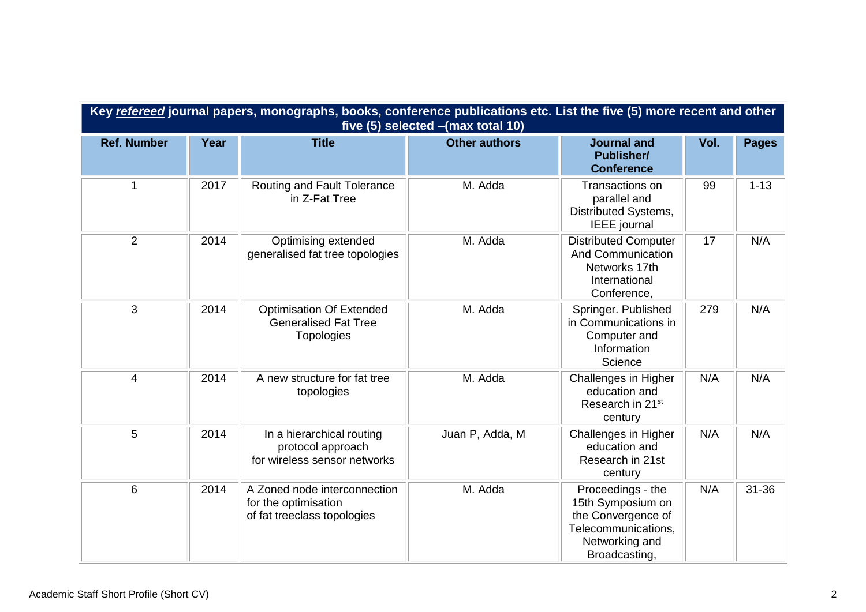| Key refereed journal papers, monographs, books, conference publications etc. List the five (5) more recent and other<br>five (5) selected - (max total 10) |      |                                                                                     |                      |                                                                                                                        |      |              |
|------------------------------------------------------------------------------------------------------------------------------------------------------------|------|-------------------------------------------------------------------------------------|----------------------|------------------------------------------------------------------------------------------------------------------------|------|--------------|
| <b>Ref. Number</b>                                                                                                                                         | Year | <b>Title</b>                                                                        | <b>Other authors</b> | <b>Journal and</b><br><b>Publisher/</b><br><b>Conference</b>                                                           | Vol. | <b>Pages</b> |
| $\mathbf{1}$                                                                                                                                               | 2017 | Routing and Fault Tolerance<br>in Z-Fat Tree                                        | M. Adda              | Transactions on<br>parallel and<br>Distributed Systems,<br><b>IEEE</b> journal                                         | 99   | $1 - 13$     |
| $\overline{2}$                                                                                                                                             | 2014 | Optimising extended<br>generalised fat tree topologies                              | M. Adda              | <b>Distributed Computer</b><br><b>And Communication</b><br>Networks 17th<br>International<br>Conference,               | 17   | N/A          |
| 3                                                                                                                                                          | 2014 | <b>Optimisation Of Extended</b><br><b>Generalised Fat Tree</b><br><b>Topologies</b> | M. Adda              | Springer. Published<br>in Communications in<br>Computer and<br>Information<br>Science                                  | 279  | N/A          |
| $\overline{4}$                                                                                                                                             | 2014 | A new structure for fat tree<br>topologies                                          | M. Adda              | Challenges in Higher<br>education and<br>Research in 21st<br>century                                                   | N/A  | N/A          |
| 5                                                                                                                                                          | 2014 | In a hierarchical routing<br>protocol approach<br>for wireless sensor networks      | Juan P, Adda, M      | Challenges in Higher<br>education and<br>Research in 21st<br>century                                                   | N/A  | N/A          |
| 6                                                                                                                                                          | 2014 | A Zoned node interconnection<br>for the optimisation<br>of fat treeclass topologies | M. Adda              | Proceedings - the<br>15th Symposium on<br>the Convergence of<br>Telecommunications,<br>Networking and<br>Broadcasting, | N/A  | $31 - 36$    |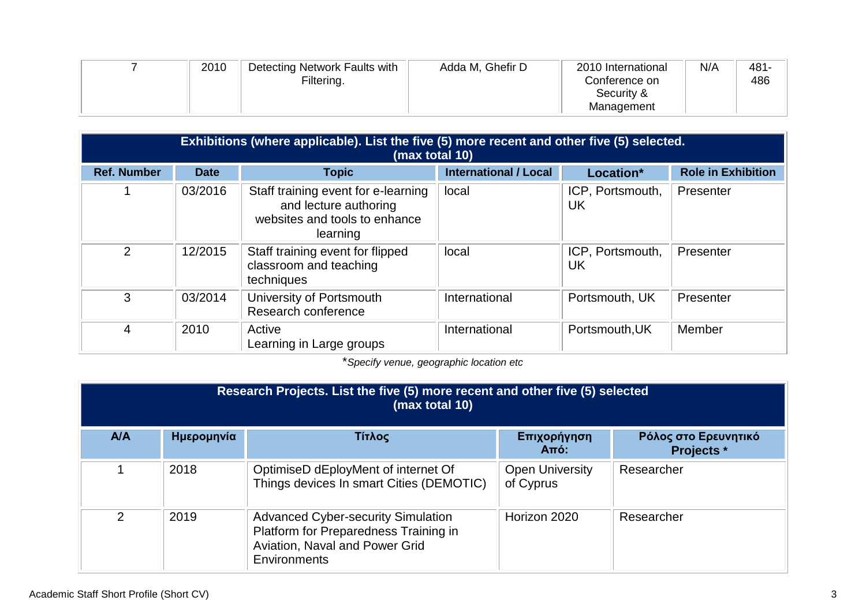| 2010 | Detecting Network Faults with | Adda M, Ghefir D | 2010 International | N/A | $481 -$ |
|------|-------------------------------|------------------|--------------------|-----|---------|
|      | Filtering.                    |                  | Conference on      |     | 486     |
|      |                               |                  | Security &         |     |         |
|      |                               |                  | Management         |     |         |

| Exhibitions (where applicable). List the five (5) more recent and other five (5) selected.<br>(max total 10) |             |                                                                                                           |                              |                        |                           |
|--------------------------------------------------------------------------------------------------------------|-------------|-----------------------------------------------------------------------------------------------------------|------------------------------|------------------------|---------------------------|
| <b>Ref. Number</b>                                                                                           | <b>Date</b> | <b>Topic</b>                                                                                              | <b>International / Local</b> | Location*              | <b>Role in Exhibition</b> |
|                                                                                                              | 03/2016     | Staff training event for e-learning<br>and lecture authoring<br>websites and tools to enhance<br>learning | local                        | ICP, Portsmouth,<br>UK | Presenter                 |
| $\overline{2}$                                                                                               | 12/2015     | Staff training event for flipped<br>classroom and teaching<br>techniques                                  | local                        | ICP, Portsmouth,<br>UK | Presenter                 |
| 3                                                                                                            | 03/2014     | University of Portsmouth<br>Research conference                                                           | International                | Portsmouth, UK         | Presenter                 |
| 4                                                                                                            | 2010        | Active<br>Learning in Large groups                                                                        | International                | Portsmouth, UK         | Member                    |

\**Specify venue, geographic location etc*

| Research Projects. List the five (5) more recent and other five (5) selected<br>(max total 10) |            |                                                                                                                                      |                                     |                                           |  |
|------------------------------------------------------------------------------------------------|------------|--------------------------------------------------------------------------------------------------------------------------------------|-------------------------------------|-------------------------------------------|--|
| A/A                                                                                            | Ημερομηνία | Τίτλος                                                                                                                               | Επιχορήγηση<br>$Am6$ :              | Ρόλος στο Ερευνητικό<br><b>Projects</b> * |  |
|                                                                                                | 2018       | OptimiseD dEployMent of internet Of<br>Things devices In smart Cities (DEMOTIC)                                                      | <b>Open University</b><br>of Cyprus | Researcher                                |  |
| 2                                                                                              | 2019       | <b>Advanced Cyber-security Simulation</b><br>Platform for Preparedness Training in<br>Aviation, Naval and Power Grid<br>Environments | Horizon 2020                        | Researcher                                |  |